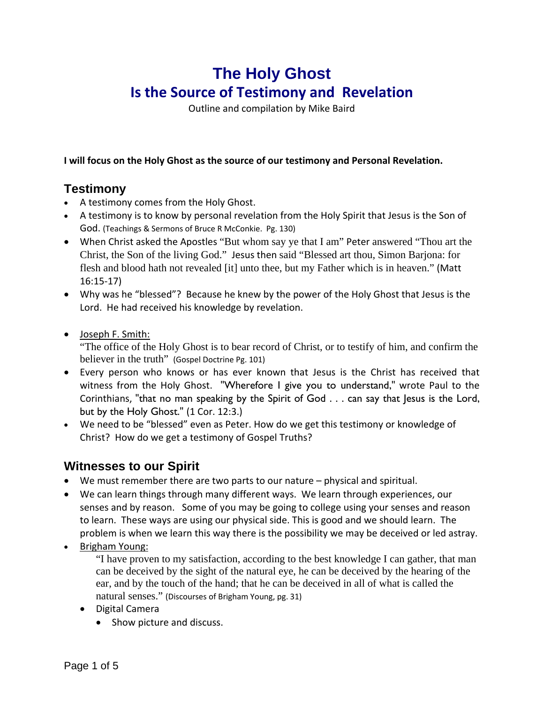# **The Holy Ghost Is the Source of Testimony and Revelation**

Outline and compilation by Mike Baird

**I will focus on the Holy Ghost as the source of our testimony and Personal Revelation.**

## **Testimony**

- A testimony comes from the Holy Ghost.
- A testimony is to know by personal revelation from the Holy Spirit that Jesus is the Son of God. (Teachings & Sermons of Bruce R McConkie. Pg. 130)
- When Christ asked the Apostles "But whom say ye that I am" Peter answered "Thou art the Christ, the Son of the living God." Jesus then said "Blessed art thou, Simon Barjona: for flesh and blood hath not revealed [it] unto thee, but my Father which is in heaven." (Matt 16:15‐17)
- Why was he "blessed"? Because he knew by the power of the Holy Ghost that Jesus is the Lord. He had received his knowledge by revelation.
- Joseph F. Smith:

"The office of the Holy Ghost is to bear record of Christ, or to testify of him, and confirm the believer in the truth" (Gospel Doctrine Pg. 101)

- Every person who knows or has ever known that Jesus is the Christ has received that witness from the Holy Ghost. "Wherefore I give you to understand," wrote Paul to the Corinthians, "that no man speaking by the Spirit of God . . . can say that Jesus is the Lord, but by the Holy Ghost." (1 Cor. 12:3.)
- We need to be "blessed" even as Peter. How do we get this testimony or knowledge of Christ? How do we get a testimony of Gospel Truths?

# **Witnesses to our Spirit**

- We must remember there are two parts to our nature physical and spiritual.
- We can learn things through many different ways. We learn through experiences, our senses and by reason. Some of you may be going to college using your senses and reason to learn. These ways are using our physical side. This is good and we should learn. The problem is when we learn this way there is the possibility we may be deceived or led astray.
- Brigham Young:

"I have proven to my satisfaction, according to the best knowledge I can gather, that man can be deceived by the sight of the natural eye, he can be deceived by the hearing of the ear, and by the touch of the hand; that he can be deceived in all of what is called the natural senses." (Discourses of Brigham Young, pg. 31)

- Digital Camera
	- Show picture and discuss.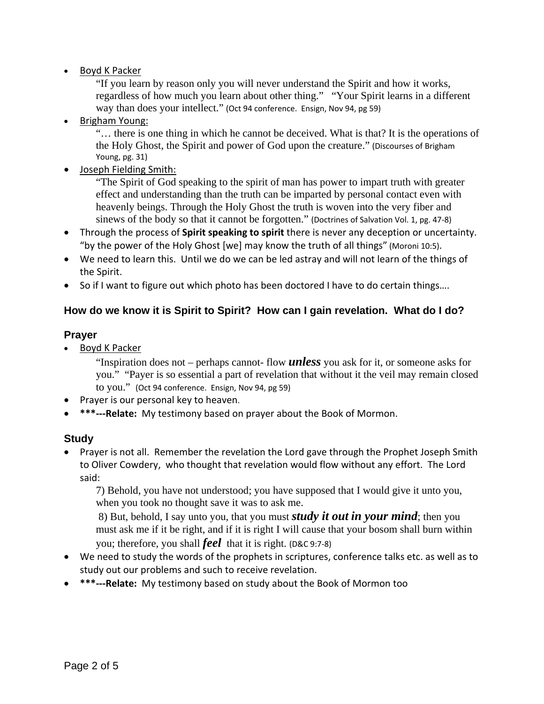Boyd K Packer

"If you learn by reason only you will never understand the Spirit and how it works, regardless of how much you learn about other thing." "Your Spirit learns in a different way than does your intellect." (Oct 94 conference. Ensign, Nov 94, pg 59)

• Brigham Young:

"… there is one thing in which he cannot be deceived. What is that? It is the operations of the Holy Ghost, the Spirit and power of God upon the creature." (Discourses of Brigham Young, pg. 31)

Joseph Fielding Smith:

"The Spirit of God speaking to the spirit of man has power to impart truth with greater effect and understanding than the truth can be imparted by personal contact even with heavenly beings. Through the Holy Ghost the truth is woven into the very fiber and sinews of the body so that it cannot be forgotten." (Doctrines of Salvation Vol. 1, pg. 47‐8)

- Through the process of **Spirit speaking to spirit** there is never any deception or uncertainty. "by the power of the Holy Ghost [we] may know the truth of all things" (Moroni 10:5).
- We need to learn this. Until we do we can be led astray and will not learn of the things of the Spirit.
- So if I want to figure out which photo has been doctored I have to do certain things....

#### **How do we know it is Spirit to Spirit? How can I gain revelation. What do I do?**

#### **Prayer**

Boyd K Packer

"Inspiration does not – perhaps cannot- flow *unless* you ask for it, or someone asks for you." "Payer is so essential a part of revelation that without it the veil may remain closed to you." (Oct 94 conference. Ensign, Nov 94, pg 59)

- Prayer is our personal key to heaven.
- **\*\*\*‐‐‐Relate:** My testimony based on prayer about the Book of Mormon.

#### **Study**

• Prayer is not all. Remember the revelation the Lord gave through the Prophet Joseph Smith to Oliver Cowdery, who thought that revelation would flow without any effort. The Lord said:

7) Behold, you have not understood; you have supposed that I would give it unto you, when you took no thought save it was to ask me.

 8) But, behold, I say unto you, that you must *study it out in your mind*; then you must ask me if it be right, and if it is right I will cause that your bosom shall burn within you; therefore, you shall *feel* that it is right. (D&C 9:7‐8)

- We need to study the words of the prophets in scriptures, conference talks etc. as well as to study out our problems and such to receive revelation.
- **\*\*\*‐‐‐Relate:** My testimony based on study about the Book of Mormon too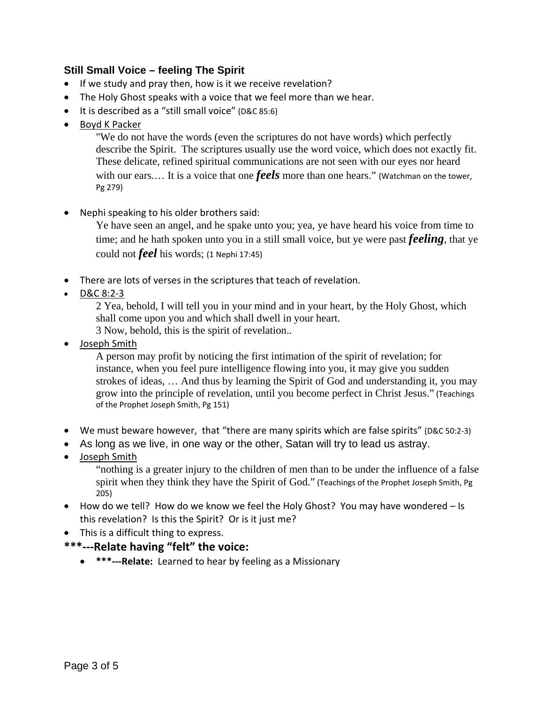#### **Still Small Voice – feeling The Spirit**

- If we study and pray then, how is it we receive revelation?
- The Holy Ghost speaks with a voice that we feel more than we hear.
- It is described as a "still small voice" (D&C 85:6)
- Boyd K Packer

"We do not have the words (even the scriptures do not have words) which perfectly describe the Spirit. The scriptures usually use the word voice, which does not exactly fit. These delicate, refined spiritual communications are not seen with our eyes nor heard with our ears.... It is a voice that one *feels* more than one hears." (Watchman on the tower, Pg 279)

• Nephi speaking to his older brothers said:

Ye have seen an angel, and he spake unto you; yea, ye have heard his voice from time to time; and he hath spoken unto you in a still small voice, but ye were past *feeling*, that ye could not *feel* his words; (1 Nephi 17:45)

- There are lots of verses in the scriptures that teach of revelation.
- D&C 8:2‐3

2 Yea, behold, I will tell you in your mind and in your heart, by the Holy Ghost, which shall come upon you and which shall dwell in your heart. 3 Now, behold, this is the spirit of revelation..

• Joseph Smith

A person may profit by noticing the first intimation of the spirit of revelation; for instance, when you feel pure intelligence flowing into you, it may give you sudden strokes of ideas, … And thus by learning the Spirit of God and understanding it, you may grow into the principle of revelation, until you become perfect in Christ Jesus." (Teachings of the Prophet Joseph Smith, Pg 151)

- We must beware however, that "there are many spirits which are false spirits" (D&C 50:2-3)
- As long as we live, in one way or the other, Satan will try to lead us astray.
- Joseph Smith

"nothing is a greater injury to the children of men than to be under the influence of a false spirit when they think they have the Spirit of God." (Teachings of the Prophet Joseph Smith, Pg 205)

- How do we tell? How do we know we feel the Holy Ghost? You may have wondered Is this revelation? Is this the Spirit? Or is it just me?
- This is a difficult thing to express.
- **\*\*\*‐‐‐Relate having "felt" the voice:**
	- **\*\*\*‐‐‐Relate:** Learned to hear by feeling as a Missionary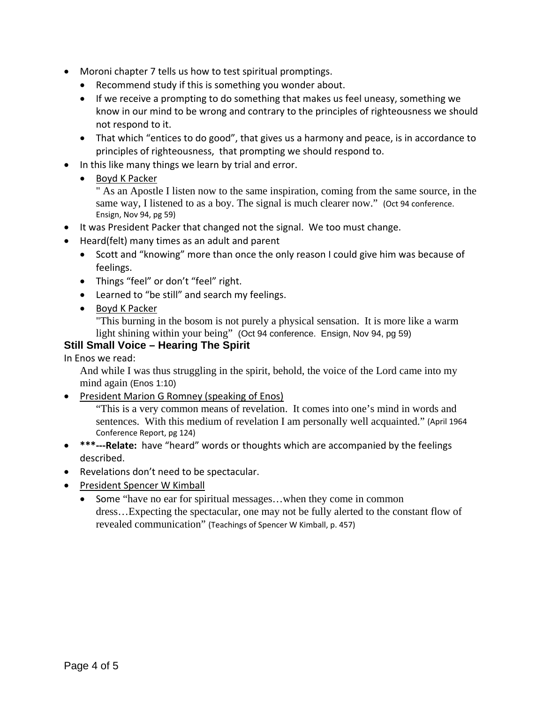- Moroni chapter 7 tells us how to test spiritual promptings.
	- Recommend study if this is something you wonder about.
	- If we receive a prompting to do something that makes us feel uneasy, something we know in our mind to be wrong and contrary to the principles of righteousness we should not respond to it.
	- That which "entices to do good", that gives us a harmony and peace, is in accordance to principles of righteousness, that prompting we should respond to.
- In this like many things we learn by trial and error.
	- Boyd K Packer

" As an Apostle I listen now to the same inspiration, coming from the same source, in the same way, I listened to as a boy. The signal is much clearer now." (Oct 94 conference. Ensign, Nov 94, pg 59)

- It was President Packer that changed not the signal. We too must change.
- Heard(felt) many times as an adult and parent
	- Scott and "knowing" more than once the only reason I could give him was because of feelings.
	- Things "feel" or don't "feel" right.
	- Learned to "be still" and search my feelings.
	- Boyd K Packer

"This burning in the bosom is not purely a physical sensation. It is more like a warm light shining within your being" (Oct 94 conference. Ensign, Nov 94, pg 59)

### **Still Small Voice – Hearing The Spirit**

In Enos we read:

And while I was thus struggling in the spirit, behold, the voice of the Lord came into my mind again (Enos 1:10)

• President Marion G Romney (speaking of Enos)

"This is a very common means of revelation. It comes into one's mind in words and sentences. With this medium of revelation I am personally well acquainted." (April 1964 Conference Report, pg 124)

- **\*\*\*‐‐‐Relate:** have "heard" words or thoughts which are accompanied by the feelings described.
- Revelations don't need to be spectacular.
- President Spencer W Kimball
	- Some "have no ear for spiritual messages…when they come in common dress…Expecting the spectacular, one may not be fully alerted to the constant flow of revealed communication" (Teachings of Spencer W Kimball, p. 457)